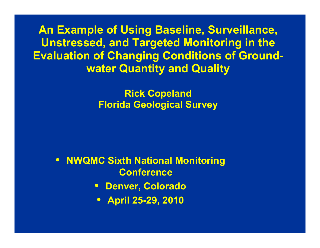**An Example of Using Baseline, Surveillance, Unstressed, and Targeted Monitoring in the in the Evaluation of Changing Conditions of Groundwater Quantity and Quality** 

> **Rick Copeland Florida Geolo g y ical Surve**

• **NWQMC Sixth National Monitoring Conference**

- **Denver, Colorado**
- **April 25 -29 2010 29,**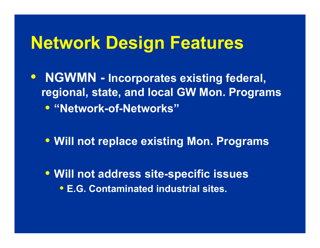- **NGWMN - Incorporates existing federal federal, regional, state, and local GW Mon. Programs**   $\bullet$  "Network-of-Networks"
	- **Will not replace existing Mon Programs Mon.**
	- **Will t dd it Will no t address site-specifi i cssues** • **E.G. Contaminated industrial sites.**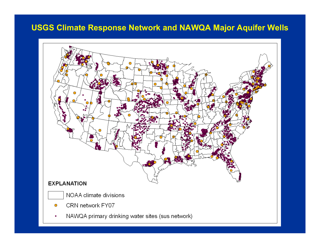#### **USGS Climate Response Network and NAWQA Major Aquifer Wells**

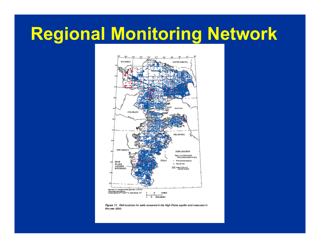# **Regional Monitoring Network**



Figure 11. Well locations for wells screened in the High Plains aquifer and measured in the year 2000.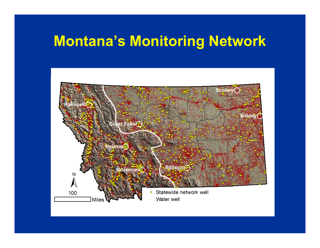#### **Montana s' Monitoring Network Network**

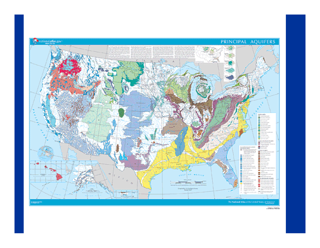

- Interestration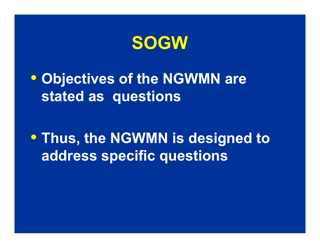

• **Objectives of the NGWMN are stated as questions** 

• **Thus the NGWMN is designed to Thus, address specific questions**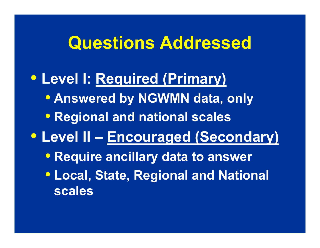## **Questions Addressed**

#### • **Level I: Required (Primary)** • **Answered by NGWMN data, only** • **Regional and national scales** • **Level II – Encouraged (Secondary)** • **Require ancillary data to answer • Local, State, Regional and National scales**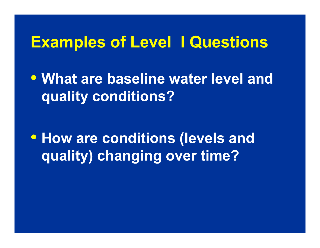#### **Examples of Level I Questions Examples**

• **What are baseline water level and quality conditions?**

• **How are conditions (levels and quality) changing over time?**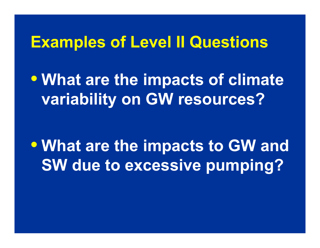#### **Examples of Level II Questions Examples**

• **What are the impacts of climate variability on GW resources?**

• **What are the impacts to GW and SW due to excessive pumping? to**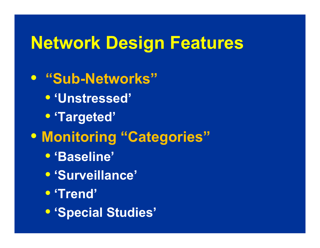• **"Sub-Networks"**• **'Unstressed'** • **'Targeted'** • **Monitoring "Categories "**• **'Baseline'** • **'S ill ' 'Surveillance**• **'Trend'** • **'Special Studies'**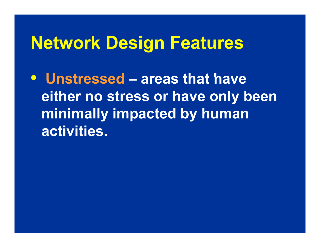•**Unstressed– areas that have either no stress or have only been mi i ll i d b h i n imally impacte by human activities.**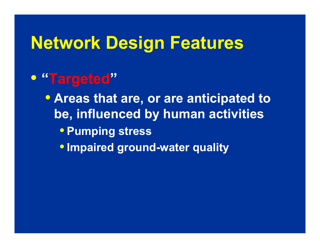#### $\bigodot$ **"Targeted "**

• **Areas that are, or are anticipated to be, influenced by human activities**  • **Pumping stress** •**Impaired ground-water quality**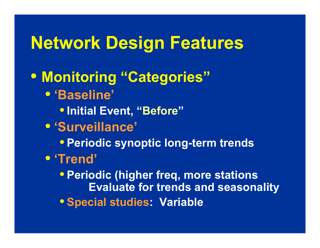• **Monitoring "Categories "**• **'Baseline'** •**I iti l E t " Initi al Even t, "B f e fore "**• **'Surveillance'** • **P i di ti l Periodic synoptic long-t td erm tren d s** • **'Trend'** • **Periodic ( f higher freq, more stations Evaluate for trends and seasonality** • **Special studies studies: Variable**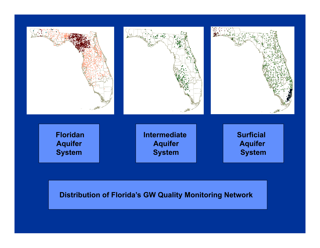

#### **Distribution of Florida's GW Quality Monitoring Network**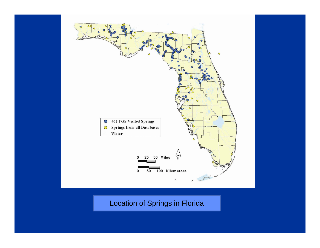

**Location of Springs in Florida**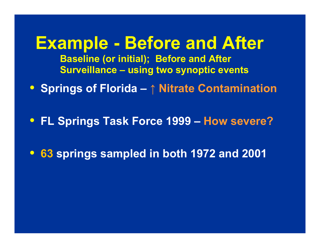**Example - Before and After Baseline (or initial); Before and After Surveillance – using two synoptic events**

• **Springs of Florida – ↑ Nitrate Contamination**

• **FL Springs Task Force 1999 – How severe?** 

• **63 springs sampled in both 1972 and 2001**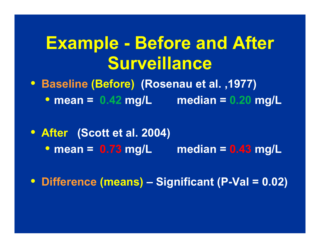# **Example - Before and After Surveillance**

• **Baseline (Before) (Rosenau et al. ,1977)**  • **mean = 0.42 mg/L median = 0.20 mg/L** 

• **After (Scott et al. 2004)**  • **mean = 0.73 mg/L median = 0.43 mg/L**

• **Difference (means) – Significant (P-Val = 0.02)**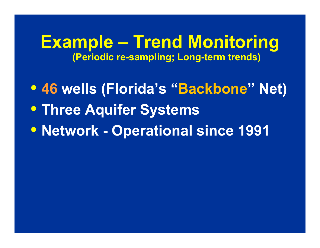**Example – Trend Monitoring (Periodic re-sampling; Long-term trends)**

• **46 wells (Florida's "Backbone" Net)** • **Three Aquifer Systems** • **Network - Operational since 1991**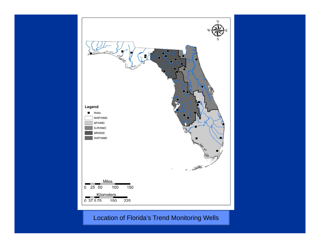

Location of Florida's Trend Monitoring Wells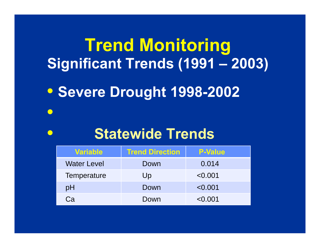# **Trend Monitoring Significant Trends (1991 – 2003)**

• **Severe Drought 1998-2002** 

### **Statewide Trends**

 $\bullet$ 

 $\bullet$ 

| <b>Variable</b>    | <b>Trend Direction</b> | <b>P-Value</b> |
|--------------------|------------------------|----------------|
| <b>Water Level</b> | Down                   | 0.014          |
| Temperature        | Up                     | < 0.001        |
| pH                 | Down                   | < 0.001        |
| Cа                 | Down                   | < 0.001        |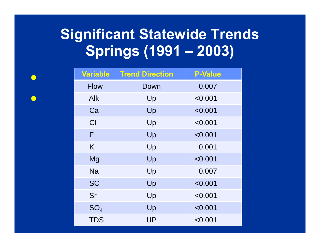#### **Significant Statewide Trends S i (1991 Spr ings –2003)**

 $\bigodot$ 

 $\bigodot$ 

| <b>Variable</b> | <b>Trend Direction</b> | <b>P-Value</b> |
|-----------------|------------------------|----------------|
| <b>Flow</b>     | Down                   | 0.007          |
| Alk             | Up                     | < 0.001        |
| Ca              | Up                     | < 0.001        |
| Cl              | Up                     | < 0.001        |
| F               | Up                     | < 0.001        |
| K               | Up                     | 0.001          |
| Mg              | Up                     | < 0.001        |
| <b>Na</b>       | Up                     | 0.007          |
| <b>SC</b>       | Up                     | < 0.001        |
| Sr              | Up                     | < 0.001        |
| SO <sub>4</sub> | Up                     | < 0.001        |
| <b>TDS</b>      | <b>UP</b>              | < 0.001        |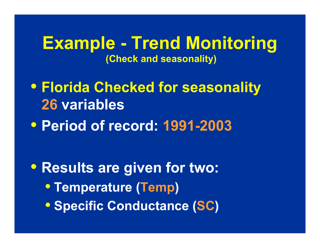#### **Example - Trend Monitoring (Check and seasonality)**

• **Florida Checked for seasonality 26 variables** • **Period of record: 1991-2003**

• **Results are given for two:** • **Temperature (Temp)** • **S ifi C d t ( Specific Conductance (SC)**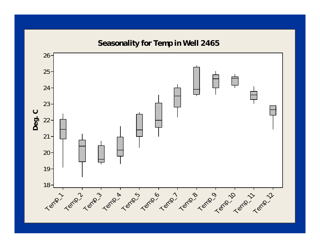**Seasonality for Temp in Well 2465 inWell**

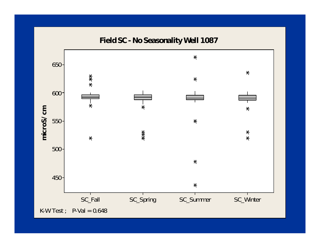Field SC - No Seasonality Well 1087

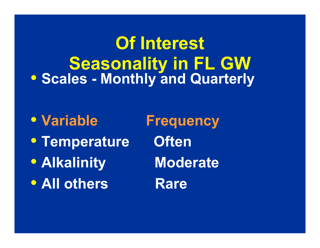**Of Interest Seasonality in FL GW**  • **Scales - Monthly and Quarterly**

• Variable • **Temperature Often** • **Alkalinity Moderate**  • **All others Rare** 

**Frequency**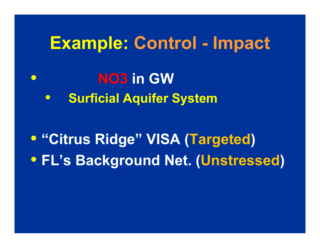## **Example: Control - Impact**

- $\bigodot$  **NO3 in GW**
	- •**Surficial Aquifer System**

• **"Citrus Ridge Citrus Ridge" VISA (Targeted Targeted)** • **FL's Background Net. (Unstressed)**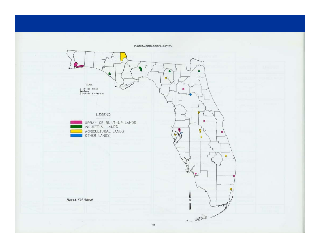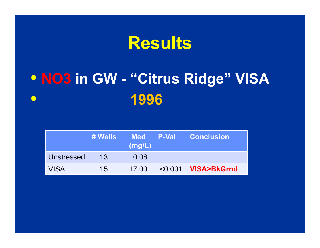# **Results**

#### · NO3 in GW - "Citrus Ridge" VISA 1996  $\bullet$

|             | ∣ # Wells ∣ | <b>Med</b><br>(mg/L) | <b>P-Val</b> | <b>Conclusion</b>     |
|-------------|-------------|----------------------|--------------|-----------------------|
| Unstressed  | 13          | 0.08                 |              |                       |
| <b>VISA</b> | 15          | 17.00                | $\leq 0.001$ | <b>NISA&gt;BkGrnd</b> |